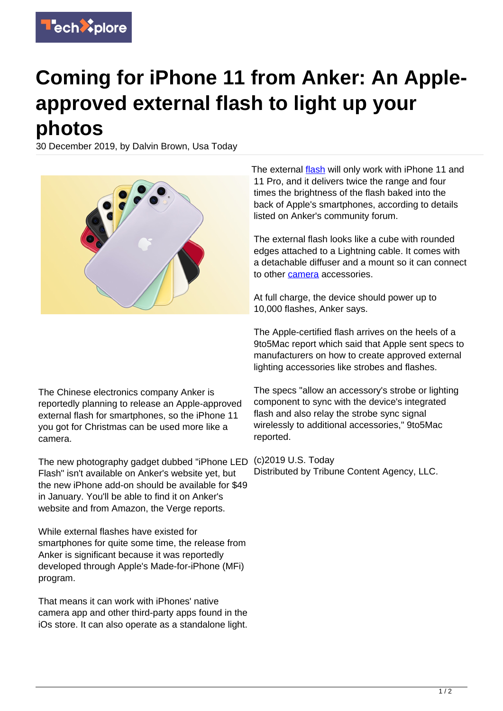

## **Coming for iPhone 11 from Anker: An Appleapproved external flash to light up your photos**

30 December 2019, by Dalvin Brown, Usa Today



The external [flash](https://techxplore.com/tags/flash/) will only work with iPhone 11 and 11 Pro, and it delivers twice the range and four times the brightness of the flash baked into the back of Apple's smartphones, according to details listed on Anker's community forum.

The external flash looks like a cube with rounded edges attached to a Lightning cable. It comes with a detachable diffuser and a mount so it can connect to other [camera](https://techxplore.com/tags/camera/) accessories.

At full charge, the device should power up to 10,000 flashes, Anker says.

The Apple-certified flash arrives on the heels of a 9to5Mac report which said that Apple sent specs to manufacturers on how to create approved external lighting accessories like strobes and flashes.

The Chinese electronics company Anker is reportedly planning to release an Apple-approved external flash for smartphones, so the iPhone 11 you got for Christmas can be used more like a camera.

The new photography gadget dubbed "iPhone LED Flash" isn't available on Anker's website yet, but the new iPhone add-on should be available for \$49 in January. You'll be able to find it on Anker's website and from Amazon, the Verge reports.

While external flashes have existed for smartphones for quite some time, the release from Anker is significant because it was reportedly developed through Apple's Made-for-iPhone (MFi) program.

That means it can work with iPhones' native camera app and other third-party apps found in the iOs store. It can also operate as a standalone light.

The specs "allow an accessory's strobe or lighting component to sync with the device's integrated flash and also relay the strobe sync signal wirelessly to additional accessories," 9to5Mac reported.

(c)2019 U.S. Today Distributed by Tribune Content Agency, LLC.